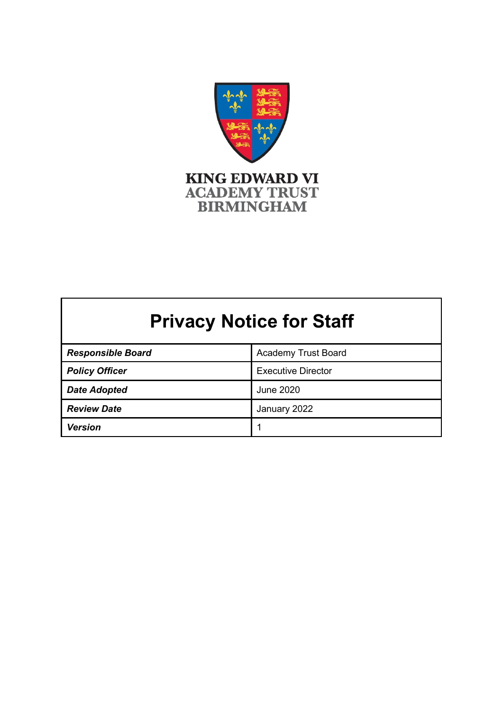

# **Privacy Notice for Staff**

| <b>Responsible Board</b> | <b>Academy Trust Board</b> |
|--------------------------|----------------------------|
| <b>Policy Officer</b>    | <b>Executive Director</b>  |
| <b>Date Adopted</b>      | June 2020                  |
| <b>Review Date</b>       | January 2022               |
| <b>Version</b>           | ◢                          |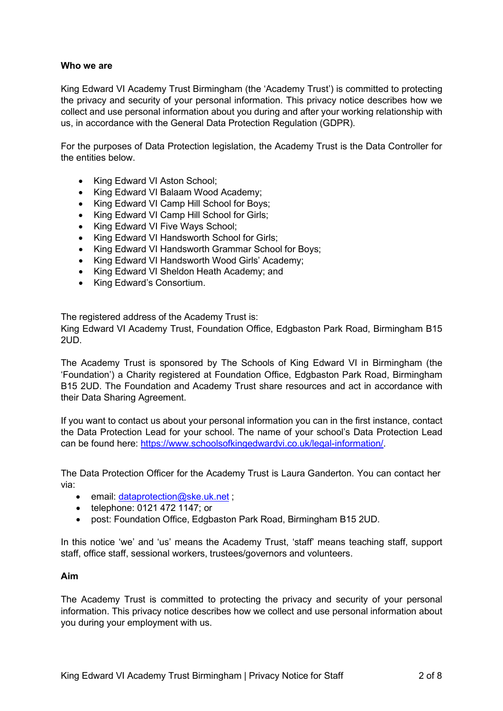# **Who we are**

King Edward VI Academy Trust Birmingham (the 'Academy Trust') is committed to protecting the privacy and security of your personal information. This privacy notice describes how we collect and use personal information about you during and after your working relationship with us, in accordance with the General Data Protection Regulation (GDPR).

For the purposes of Data Protection legislation, the Academy Trust is the Data Controller for the entities below.

- King Edward VI Aston School;
- King Edward VI Balaam Wood Academy;
- King Edward VI Camp Hill School for Boys;
- King Edward VI Camp Hill School for Girls;
- King Edward VI Five Ways School;
- King Edward VI Handsworth School for Girls;
- King Edward VI Handsworth Grammar School for Boys;
- King Edward VI Handsworth Wood Girls' Academy;
- King Edward VI Sheldon Heath Academy; and
- King Edward's Consortium.

The registered address of the Academy Trust is:

King Edward VI Academy Trust, Foundation Office, Edgbaston Park Road, Birmingham B15 2UD.

The Academy Trust is sponsored by The Schools of King Edward VI in Birmingham (the 'Foundation') a Charity registered at Foundation Office, Edgbaston Park Road, Birmingham B15 2UD. The Foundation and Academy Trust share resources and act in accordance with their Data Sharing Agreement.

If you want to contact us about your personal information you can in the first instance, contact the Data Protection Lead for your school. The name of your school's Data Protection Lead can be found here: [https://www.schoolsofkingedwardvi.co.uk/legal-information/.](https://www.schoolsofkingedwardvi.co.uk/legal-information/)

The Data Protection Officer for the Academy Trust is Laura Ganderton. You can contact her via:

- email: [dataprotection@ske.uk.net](mailto:dataprotection@ske.uk.net) ;
- telephone: 0121 472 1147; or
- post: Foundation Office, Edgbaston Park Road, Birmingham B15 2UD.

In this notice 'we' and 'us' means the Academy Trust, 'staff' means teaching staff, support staff, office staff, sessional workers, trustees/governors and volunteers.

#### **Aim**

The Academy Trust is committed to protecting the privacy and security of your personal information. This privacy notice describes how we collect and use personal information about you during your employment with us.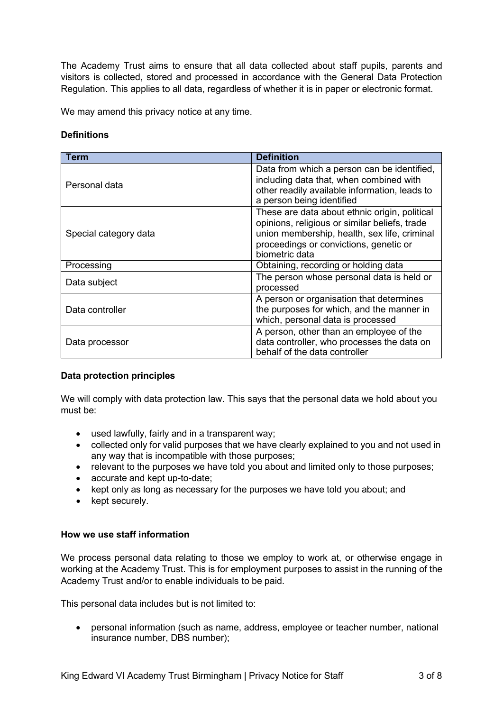The Academy Trust aims to ensure that all data collected about staff pupils, parents and visitors is collected, stored and processed in accordance with the General Data Protection Regulation. This applies to all data, regardless of whether it is in paper or electronic format.

We may amend this privacy notice at any time.

# **Definitions**

| <b>Term</b>           | <b>Definition</b>                                                                                                                                                                                          |
|-----------------------|------------------------------------------------------------------------------------------------------------------------------------------------------------------------------------------------------------|
| Personal data         | Data from which a person can be identified,<br>including data that, when combined with<br>other readily available information, leads to<br>a person being identified                                       |
| Special category data | These are data about ethnic origin, political<br>opinions, religious or similar beliefs, trade<br>union membership, health, sex life, criminal<br>proceedings or convictions, genetic or<br>biometric data |
| Processing            | Obtaining, recording or holding data                                                                                                                                                                       |
| Data subject          | The person whose personal data is held or<br>processed                                                                                                                                                     |
| Data controller       | A person or organisation that determines<br>the purposes for which, and the manner in<br>which, personal data is processed                                                                                 |
| Data processor        | A person, other than an employee of the<br>data controller, who processes the data on<br>behalf of the data controller                                                                                     |

# **Data protection principles**

We will comply with data protection law. This says that the personal data we hold about you must be:

- used lawfully, fairly and in a transparent way;
- collected only for valid purposes that we have clearly explained to you and not used in any way that is incompatible with those purposes;
- relevant to the purposes we have told you about and limited only to those purposes;
- accurate and kept up-to-date;
- kept only as long as necessary for the purposes we have told you about; and
- kept securely.

#### **How we use staff information**

We process personal data relating to those we employ to work at, or otherwise engage in working at the Academy Trust. This is for employment purposes to assist in the running of the Academy Trust and/or to enable individuals to be paid.

This personal data includes but is not limited to:

• personal information (such as name, address, employee or teacher number, national insurance number, DBS number);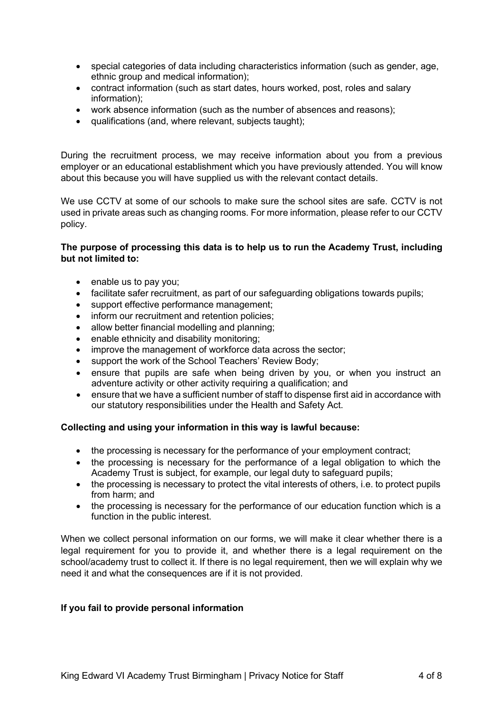- special categories of data including characteristics information (such as gender, age, ethnic group and medical information);
- contract information (such as start dates, hours worked, post, roles and salary information);
- work absence information (such as the number of absences and reasons);
- qualifications (and, where relevant, subjects taught);

During the recruitment process, we may receive information about you from a previous employer or an educational establishment which you have previously attended. You will know about this because you will have supplied us with the relevant contact details.

We use CCTV at some of our schools to make sure the school sites are safe. CCTV is not used in private areas such as changing rooms. For more information, please refer to our CCTV policy.

# **The purpose of processing this data is to help us to run the Academy Trust, including but not limited to:**

- enable us to pay you;
- facilitate safer recruitment, as part of our safeguarding obligations towards pupils;
- support effective performance management;
- inform our recruitment and retention policies;
- allow better financial modelling and planning;
- enable ethnicity and disability monitoring:
- improve the management of workforce data across the sector;
- support the work of the School Teachers' Review Body;
- ensure that pupils are safe when being driven by you, or when you instruct an adventure activity or other activity requiring a qualification; and
- ensure that we have a sufficient number of staff to dispense first aid in accordance with our statutory responsibilities under the Health and Safety Act.

# **Collecting and using your information in this way is lawful because:**

- the processing is necessary for the performance of your employment contract;
- the processing is necessary for the performance of a legal obligation to which the Academy Trust is subject, for example, our legal duty to safeguard pupils;
- the processing is necessary to protect the vital interests of others, i.e. to protect pupils from harm; and
- the processing is necessary for the performance of our education function which is a function in the public interest.

When we collect personal information on our forms, we will make it clear whether there is a legal requirement for you to provide it, and whether there is a legal requirement on the school/academy trust to collect it. If there is no legal requirement, then we will explain why we need it and what the consequences are if it is not provided.

# **If you fail to provide personal information**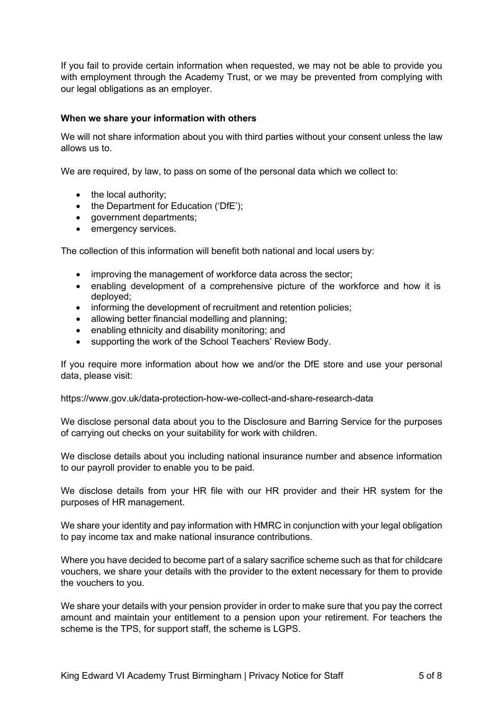If you fail to provide certain information when requested, we may not be able to provide you with employment through the Academy Trust, or we may be prevented from complying with our legal obligations as an employer.

# **When we share your information with others**

We will not share information about you with third parties without your consent unless the law allows us to.

We are required, by law, to pass on some of the personal data which we collect to:

- the local authority;
- the Department for Education ('DfE');
- government departments;
- emergency services.

The collection of this information will benefit both national and local users by:

- improving the management of workforce data across the sector;
- enabling development of a comprehensive picture of the workforce and how it is deployed;
- informing the development of recruitment and retention policies;
- allowing better financial modelling and planning;
- enabling ethnicity and disability monitoring; and
- supporting the work of the School Teachers' Review Body.

If you require more information about how we and/or the DfE store and use your personal data, please visit:

https:[//www.gov.uk/data-protection-how-we-collect-and-share-research-data](http://www.gov.uk/data-protection-how-we-collect-and-share-research-data)

We disclose personal data about you to the Disclosure and Barring Service for the purposes of carrying out checks on your suitability for work with children.

We disclose details about you including national insurance number and absence information to our payroll provider to enable you to be paid.

We disclose details from your HR file with our HR provider and their HR system for the purposes of HR management.

We share your identity and pay information with HMRC in conjunction with your legal obligation to pay income tax and make national insurance contributions.

Where you have decided to become part of a salary sacrifice scheme such as that for childcare vouchers, we share your details with the provider to the extent necessary for them to provide the vouchers to you.

We share your details with your pension provider in order to make sure that you pay the correct amount and maintain your entitlement to a pension upon your retirement. For teachers the scheme is the TPS, for support staff, the scheme is LGPS.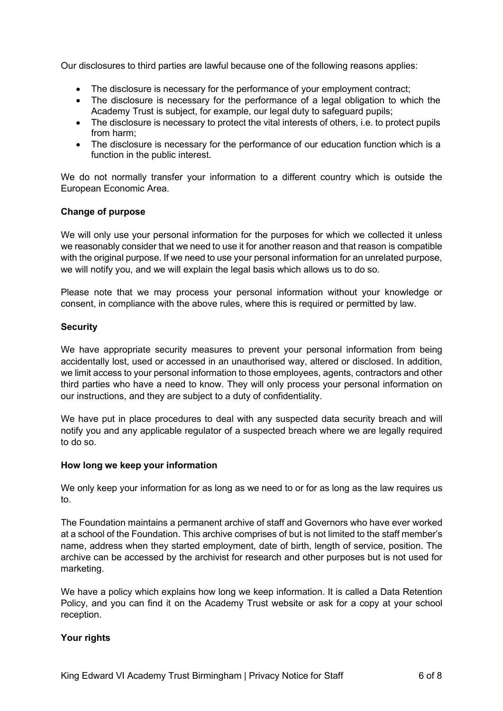Our disclosures to third parties are lawful because one of the following reasons applies:

- The disclosure is necessary for the performance of your employment contract;
- The disclosure is necessary for the performance of a legal obligation to which the Academy Trust is subject, for example, our legal duty to safeguard pupils;
- The disclosure is necessary to protect the vital interests of others, i.e. to protect pupils from harm;
- The disclosure is necessary for the performance of our education function which is a function in the public interest.

We do not normally transfer your information to a different country which is outside the European Economic Area.

#### **Change of purpose**

We will only use your personal information for the purposes for which we collected it unless we reasonably consider that we need to use it for another reason and that reason is compatible with the original purpose. If we need to use your personal information for an unrelated purpose, we will notify you, and we will explain the legal basis which allows us to do so.

Please note that we may process your personal information without your knowledge or consent, in compliance with the above rules, where this is required or permitted by law.

#### **Security**

We have appropriate security measures to prevent your personal information from being accidentally lost, used or accessed in an unauthorised way, altered or disclosed. In addition, we limit access to your personal information to those employees, agents, contractors and other third parties who have a need to know. They will only process your personal information on our instructions, and they are subject to a duty of confidentiality.

We have put in place procedures to deal with any suspected data security breach and will notify you and any applicable regulator of a suspected breach where we are legally required to do so.

#### **How long we keep your information**

We only keep your information for as long as we need to or for as long as the law requires us to.

The Foundation maintains a permanent archive of staff and Governors who have ever worked at a school of the Foundation. This archive comprises of but is not limited to the staff member's name, address when they started employment, date of birth, length of service, position. The archive can be accessed by the archivist for research and other purposes but is not used for marketing.

We have a policy which explains how long we keep information. It is called a Data Retention Policy, and you can find it on the Academy Trust website or ask for a copy at your school reception.

#### **Your rights**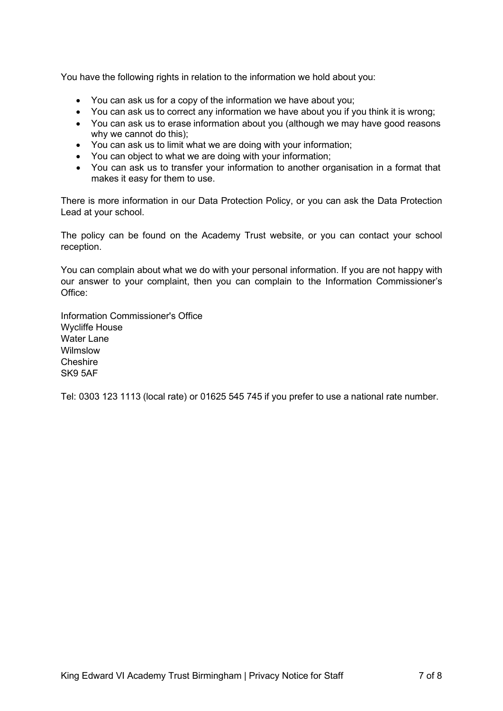You have the following rights in relation to the information we hold about you:

- You can ask us for a copy of the information we have about you;
- You can ask us to correct any information we have about you if you think it is wrong;
- You can ask us to erase information about you (although we may have good reasons why we cannot do this);
- You can ask us to limit what we are doing with your information;
- You can object to what we are doing with your information;
- You can ask us to transfer your information to another organisation in a format that makes it easy for them to use.

There is more information in our Data Protection Policy, or you can ask the Data Protection Lead at your school.

The policy can be found on the Academy Trust website, or you can contact your school reception.

You can complain about what we do with your personal information. If you are not happy with our answer to your complaint, then you can complain to the Information Commissioner's Office:

Information Commissioner's Office Wycliffe House Water Lane Wilmslow **Cheshire** SK9 5AF

Tel: 0303 123 1113 (local rate) or 01625 545 745 if you prefer to use a national rate number.